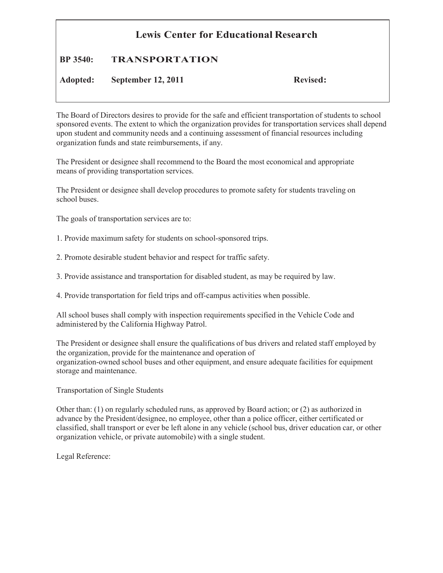## **Lewis Center for Educational Research**

## **BP 3540: TRANSPORTATION**

**Adopted: September 12, 2011 Revised:**

The Board of Directors desires to provide for the safe and efficient transportation of students to school sponsored events. The extent to which the organization provides for transportation services shall depend upon student and community needs and a continuing assessment of financial resources including organization funds and state reimbursements, if any.

The President or designee shall recommend to the Board the most economical and appropriate means of providing transportation services.

The President or designee shall develop procedures to promote safety for students traveling on school buses.

The goals of transportation services are to:

- 1. Provide maximum safety for students on school-sponsored trips.
- 2. Promote desirable student behavior and respect for traffic safety.
- 3. Provide assistance and transportation for disabled student, as may be required by law.
- 4. Provide transportation for field trips and off-campus activities when possible.

All school buses shall comply with inspection requirements specified in the Vehicle Code and administered by the California Highway Patrol.

The President or designee shall ensure the qualifications of bus drivers and related staff employed by the organization, provide for the maintenance and operation of organization-owned school buses and other equipment, and ensure adequate facilities for equipment storage and maintenance.

Transportation of Single Students

Other than: (1) on regularly scheduled runs, as approved by Board action; or (2) as authorized in advance by the President/designee, no employee, other than a police officer, either certificated or classified, shall transport or ever be left alone in any vehicle (school bus, driver education car, or other organization vehicle, or private automobile) with a single student.

Legal Reference: